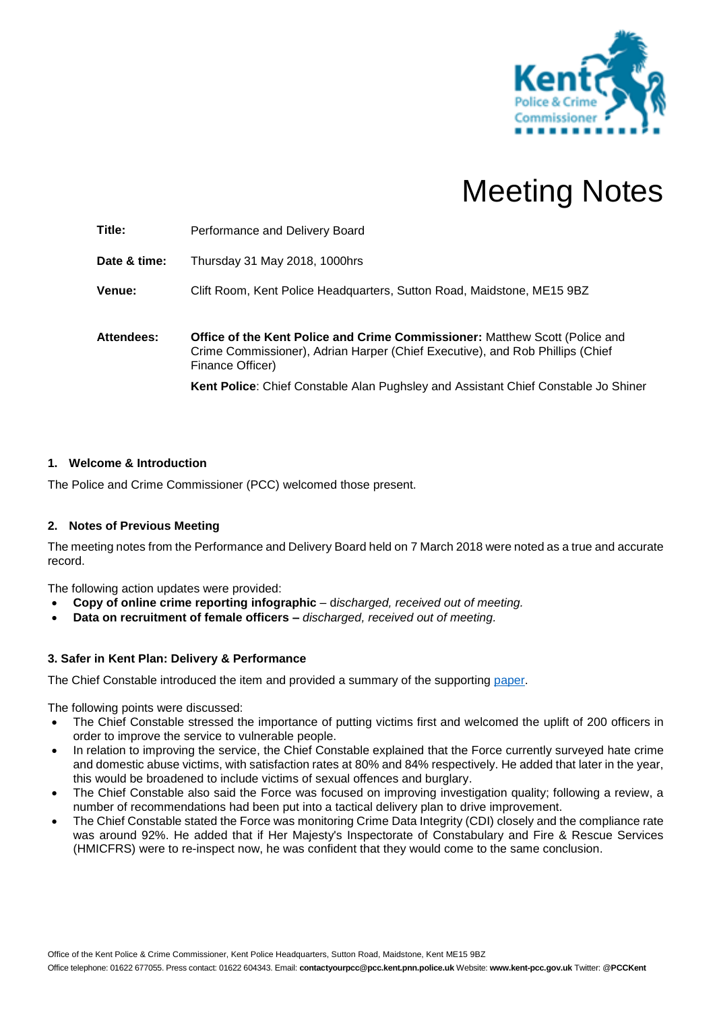

# Meeting Notes

**Title:** Performance and Delivery Board **Date & time:** Thursday 31 May 2018, 1000hrs **Venue:** Clift Room, Kent Police Headquarters, Sutton Road, Maidstone, ME15 9BZ **Attendees: Office of the Kent Police and Crime Commissioner:** Matthew Scott (Police and Crime Commissioner), Adrian Harper (Chief Executive), and Rob Phillips (Chief Finance Officer) **Kent Police**: Chief Constable Alan Pughsley and Assistant Chief Constable Jo Shiner

# **1. Welcome & Introduction**

The Police and Crime Commissioner (PCC) welcomed those present.

## **2. Notes of Previous Meeting**

The meeting notes from the Performance and Delivery Board held on 7 March 2018 were noted as a true and accurate record.

The following action updates were provided:

- **Copy of online crime reporting infographic** d*ischarged, received out of meeting.*
- **Data on recruitment of female officers –** *discharged, received out of meeting.*

## **3. Safer in Kent Plan: Delivery & Performance**

The Chief Constable introduced the item and provided a summary of the supporting [paper.](https://www.kent-pcc.gov.uk/getmedia/c79fabe4-afe1-4231-9229-ae698e229a7d/310518_Plan_Delivery.pdf)

The following points were discussed:

- The Chief Constable stressed the importance of putting victims first and welcomed the uplift of 200 officers in order to improve the service to vulnerable people.
- In relation to improving the service, the Chief Constable explained that the Force currently surveyed hate crime and domestic abuse victims, with satisfaction rates at 80% and 84% respectively. He added that later in the year, this would be broadened to include victims of sexual offences and burglary.
- The Chief Constable also said the Force was focused on improving investigation quality; following a review, a number of recommendations had been put into a tactical delivery plan to drive improvement.
- The Chief Constable stated the Force was monitoring Crime Data Integrity (CDI) closely and the compliance rate was around 92%. He added that if Her Majesty's Inspectorate of Constabulary and Fire & Rescue Services (HMICFRS) were to re-inspect now, he was confident that they would come to the same conclusion.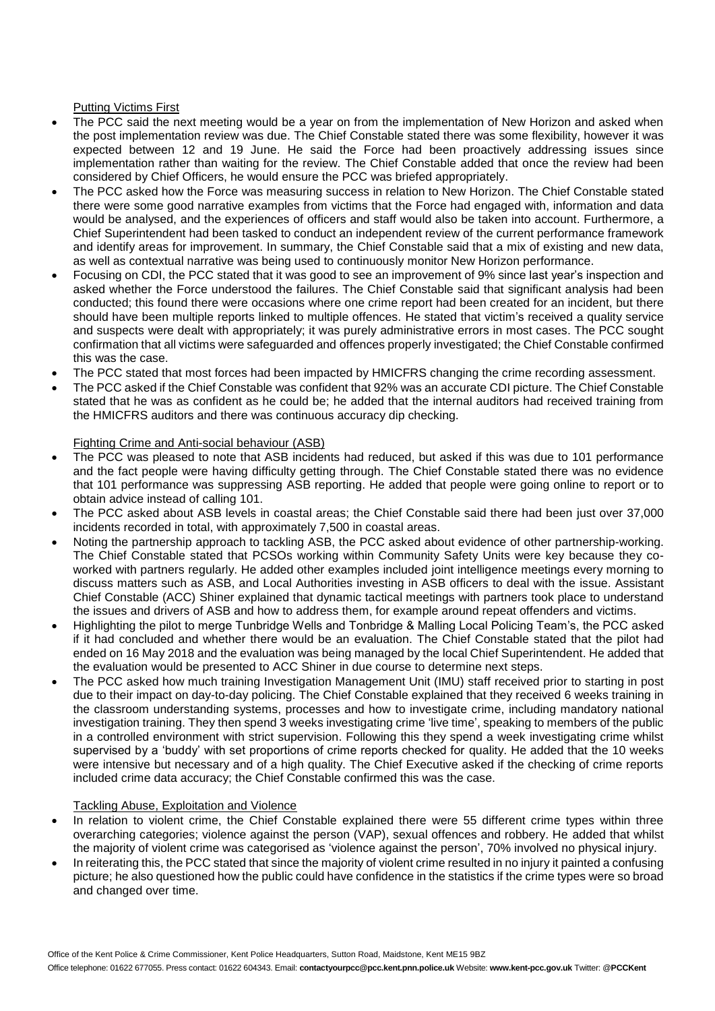## Putting Victims First

- The PCC said the next meeting would be a year on from the implementation of New Horizon and asked when the post implementation review was due. The Chief Constable stated there was some flexibility, however it was expected between 12 and 19 June. He said the Force had been proactively addressing issues since implementation rather than waiting for the review. The Chief Constable added that once the review had been considered by Chief Officers, he would ensure the PCC was briefed appropriately.
- The PCC asked how the Force was measuring success in relation to New Horizon. The Chief Constable stated there were some good narrative examples from victims that the Force had engaged with, information and data would be analysed, and the experiences of officers and staff would also be taken into account. Furthermore, a Chief Superintendent had been tasked to conduct an independent review of the current performance framework and identify areas for improvement. In summary, the Chief Constable said that a mix of existing and new data, as well as contextual narrative was being used to continuously monitor New Horizon performance.
- Focusing on CDI, the PCC stated that it was good to see an improvement of 9% since last year's inspection and asked whether the Force understood the failures. The Chief Constable said that significant analysis had been conducted; this found there were occasions where one crime report had been created for an incident, but there should have been multiple reports linked to multiple offences. He stated that victim's received a quality service and suspects were dealt with appropriately; it was purely administrative errors in most cases. The PCC sought confirmation that all victims were safeguarded and offences properly investigated; the Chief Constable confirmed this was the case.
- The PCC stated that most forces had been impacted by HMICFRS changing the crime recording assessment.
- The PCC asked if the Chief Constable was confident that 92% was an accurate CDI picture. The Chief Constable stated that he was as confident as he could be; he added that the internal auditors had received training from the HMICFRS auditors and there was continuous accuracy dip checking.

# Fighting Crime and Anti-social behaviour (ASB)

- The PCC was pleased to note that ASB incidents had reduced, but asked if this was due to 101 performance and the fact people were having difficulty getting through. The Chief Constable stated there was no evidence that 101 performance was suppressing ASB reporting. He added that people were going online to report or to obtain advice instead of calling 101.
- The PCC asked about ASB levels in coastal areas; the Chief Constable said there had been just over 37,000 incidents recorded in total, with approximately 7,500 in coastal areas.
- Noting the partnership approach to tackling ASB, the PCC asked about evidence of other partnership-working. The Chief Constable stated that PCSOs working within Community Safety Units were key because they coworked with partners regularly. He added other examples included joint intelligence meetings every morning to discuss matters such as ASB, and Local Authorities investing in ASB officers to deal with the issue. Assistant Chief Constable (ACC) Shiner explained that dynamic tactical meetings with partners took place to understand the issues and drivers of ASB and how to address them, for example around repeat offenders and victims.
- Highlighting the pilot to merge Tunbridge Wells and Tonbridge & Malling Local Policing Team's, the PCC asked if it had concluded and whether there would be an evaluation. The Chief Constable stated that the pilot had ended on 16 May 2018 and the evaluation was being managed by the local Chief Superintendent. He added that the evaluation would be presented to ACC Shiner in due course to determine next steps.
- The PCC asked how much training Investigation Management Unit (IMU) staff received prior to starting in post due to their impact on day-to-day policing. The Chief Constable explained that they received 6 weeks training in the classroom understanding systems, processes and how to investigate crime, including mandatory national investigation training. They then spend 3 weeks investigating crime 'live time', speaking to members of the public in a controlled environment with strict supervision. Following this they spend a week investigating crime whilst supervised by a 'buddy' with set proportions of crime reports checked for quality. He added that the 10 weeks were intensive but necessary and of a high quality. The Chief Executive asked if the checking of crime reports included crime data accuracy; the Chief Constable confirmed this was the case.

## Tackling Abuse, Exploitation and Violence

- In relation to violent crime, the Chief Constable explained there were 55 different crime types within three overarching categories; violence against the person (VAP), sexual offences and robbery. He added that whilst the majority of violent crime was categorised as 'violence against the person', 70% involved no physical injury.
- In reiterating this, the PCC stated that since the majority of violent crime resulted in no injury it painted a confusing picture; he also questioned how the public could have confidence in the statistics if the crime types were so broad and changed over time.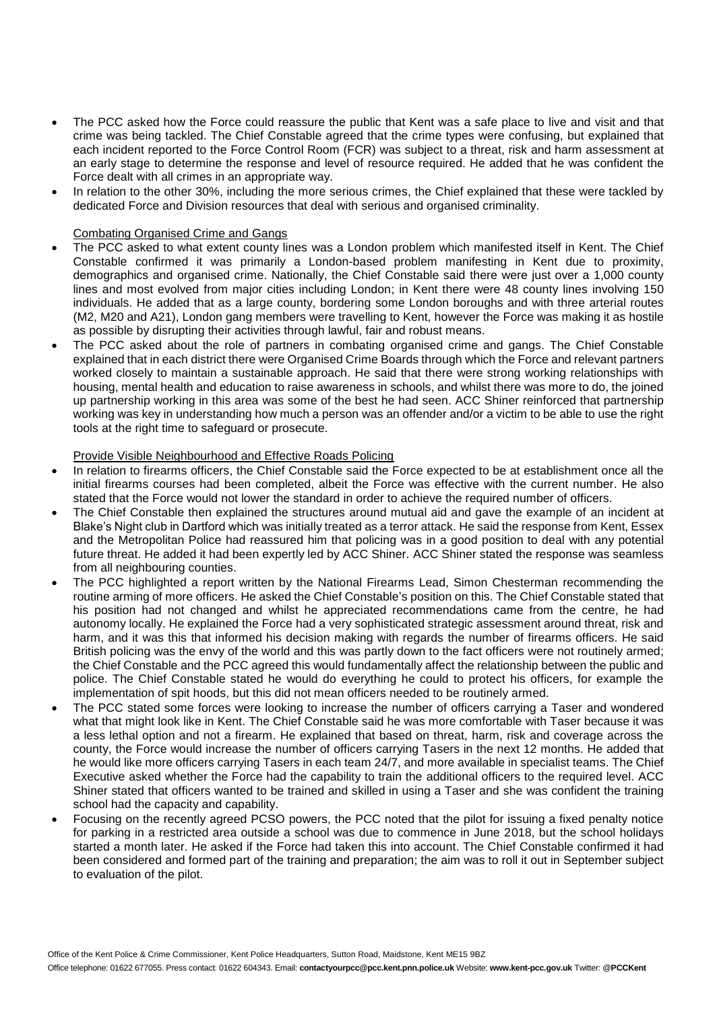- The PCC asked how the Force could reassure the public that Kent was a safe place to live and visit and that crime was being tackled. The Chief Constable agreed that the crime types were confusing, but explained that each incident reported to the Force Control Room (FCR) was subject to a threat, risk and harm assessment at an early stage to determine the response and level of resource required. He added that he was confident the Force dealt with all crimes in an appropriate way.
- In relation to the other 30%, including the more serious crimes, the Chief explained that these were tackled by dedicated Force and Division resources that deal with serious and organised criminality.

## Combating Organised Crime and Gangs

- The PCC asked to what extent county lines was a London problem which manifested itself in Kent. The Chief Constable confirmed it was primarily a London-based problem manifesting in Kent due to proximity, demographics and organised crime. Nationally, the Chief Constable said there were just over a 1,000 county lines and most evolved from major cities including London; in Kent there were 48 county lines involving 150 individuals. He added that as a large county, bordering some London boroughs and with three arterial routes (M2, M20 and A21), London gang members were travelling to Kent, however the Force was making it as hostile as possible by disrupting their activities through lawful, fair and robust means.
- The PCC asked about the role of partners in combating organised crime and gangs. The Chief Constable explained that in each district there were Organised Crime Boards through which the Force and relevant partners worked closely to maintain a sustainable approach. He said that there were strong working relationships with housing, mental health and education to raise awareness in schools, and whilst there was more to do, the joined up partnership working in this area was some of the best he had seen. ACC Shiner reinforced that partnership working was key in understanding how much a person was an offender and/or a victim to be able to use the right tools at the right time to safeguard or prosecute.

#### Provide Visible Neighbourhood and Effective Roads Policing

- In relation to firearms officers, the Chief Constable said the Force expected to be at establishment once all the initial firearms courses had been completed, albeit the Force was effective with the current number. He also stated that the Force would not lower the standard in order to achieve the required number of officers.
- The Chief Constable then explained the structures around mutual aid and gave the example of an incident at Blake's Night club in Dartford which was initially treated as a terror attack. He said the response from Kent, Essex and the Metropolitan Police had reassured him that policing was in a good position to deal with any potential future threat. He added it had been expertly led by ACC Shiner. ACC Shiner stated the response was seamless from all neighbouring counties.
- The PCC highlighted a report written by the National Firearms Lead, Simon Chesterman recommending the routine arming of more officers. He asked the Chief Constable's position on this. The Chief Constable stated that his position had not changed and whilst he appreciated recommendations came from the centre, he had autonomy locally. He explained the Force had a very sophisticated strategic assessment around threat, risk and harm, and it was this that informed his decision making with regards the number of firearms officers. He said British policing was the envy of the world and this was partly down to the fact officers were not routinely armed; the Chief Constable and the PCC agreed this would fundamentally affect the relationship between the public and police. The Chief Constable stated he would do everything he could to protect his officers, for example the implementation of spit hoods, but this did not mean officers needed to be routinely armed.
- The PCC stated some forces were looking to increase the number of officers carrying a Taser and wondered what that might look like in Kent. The Chief Constable said he was more comfortable with Taser because it was a less lethal option and not a firearm. He explained that based on threat, harm, risk and coverage across the county, the Force would increase the number of officers carrying Tasers in the next 12 months. He added that he would like more officers carrying Tasers in each team 24/7, and more available in specialist teams. The Chief Executive asked whether the Force had the capability to train the additional officers to the required level. ACC Shiner stated that officers wanted to be trained and skilled in using a Taser and she was confident the training school had the capacity and capability.
- Focusing on the recently agreed PCSO powers, the PCC noted that the pilot for issuing a fixed penalty notice for parking in a restricted area outside a school was due to commence in June 2018, but the school holidays started a month later. He asked if the Force had taken this into account. The Chief Constable confirmed it had been considered and formed part of the training and preparation; the aim was to roll it out in September subject to evaluation of the pilot.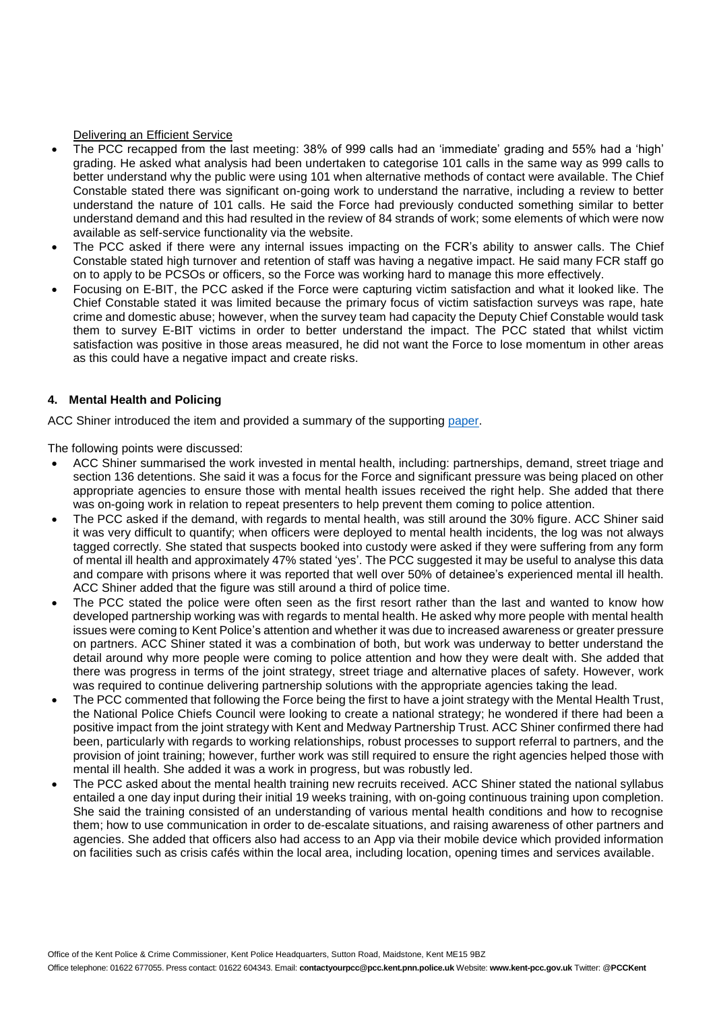#### Delivering an Efficient Service

- The PCC recapped from the last meeting: 38% of 999 calls had an 'immediate' grading and 55% had a 'high' grading. He asked what analysis had been undertaken to categorise 101 calls in the same way as 999 calls to better understand why the public were using 101 when alternative methods of contact were available. The Chief Constable stated there was significant on-going work to understand the narrative, including a review to better understand the nature of 101 calls. He said the Force had previously conducted something similar to better understand demand and this had resulted in the review of 84 strands of work; some elements of which were now available as self-service functionality via the website.
- The PCC asked if there were any internal issues impacting on the FCR's ability to answer calls. The Chief Constable stated high turnover and retention of staff was having a negative impact. He said many FCR staff go on to apply to be PCSOs or officers, so the Force was working hard to manage this more effectively.
- Focusing on E-BIT, the PCC asked if the Force were capturing victim satisfaction and what it looked like. The Chief Constable stated it was limited because the primary focus of victim satisfaction surveys was rape, hate crime and domestic abuse; however, when the survey team had capacity the Deputy Chief Constable would task them to survey E-BIT victims in order to better understand the impact. The PCC stated that whilst victim satisfaction was positive in those areas measured, he did not want the Force to lose momentum in other areas as this could have a negative impact and create risks.

#### **4. Mental Health and Policing**

ACC Shiner introduced the item and provided a summary of the supporting [paper.](https://www.kent-pcc.gov.uk/getmedia/88ca9217-7450-41ed-8991-86653fbae168/310518_MH-Policing.pdf)

The following points were discussed:

- ACC Shiner summarised the work invested in mental health, including: partnerships, demand, street triage and section 136 detentions. She said it was a focus for the Force and significant pressure was being placed on other appropriate agencies to ensure those with mental health issues received the right help. She added that there was on-going work in relation to repeat presenters to help prevent them coming to police attention.
- The PCC asked if the demand, with regards to mental health, was still around the 30% figure. ACC Shiner said it was very difficult to quantify; when officers were deployed to mental health incidents, the log was not always tagged correctly. She stated that suspects booked into custody were asked if they were suffering from any form of mental ill health and approximately 47% stated 'yes'. The PCC suggested it may be useful to analyse this data and compare with prisons where it was reported that well over 50% of detainee's experienced mental ill health. ACC Shiner added that the figure was still around a third of police time.
- The PCC stated the police were often seen as the first resort rather than the last and wanted to know how developed partnership working was with regards to mental health. He asked why more people with mental health issues were coming to Kent Police's attention and whether it was due to increased awareness or greater pressure on partners. ACC Shiner stated it was a combination of both, but work was underway to better understand the detail around why more people were coming to police attention and how they were dealt with. She added that there was progress in terms of the joint strategy, street triage and alternative places of safety. However, work was required to continue delivering partnership solutions with the appropriate agencies taking the lead.
- The PCC commented that following the Force being the first to have a joint strategy with the Mental Health Trust, the National Police Chiefs Council were looking to create a national strategy; he wondered if there had been a positive impact from the joint strategy with Kent and Medway Partnership Trust. ACC Shiner confirmed there had been, particularly with regards to working relationships, robust processes to support referral to partners, and the provision of joint training; however, further work was still required to ensure the right agencies helped those with mental ill health. She added it was a work in progress, but was robustly led.
- The PCC asked about the mental health training new recruits received. ACC Shiner stated the national syllabus entailed a one day input during their initial 19 weeks training, with on-going continuous training upon completion. She said the training consisted of an understanding of various mental health conditions and how to recognise them; how to use communication in order to de-escalate situations, and raising awareness of other partners and agencies. She added that officers also had access to an App via their mobile device which provided information on facilities such as crisis cafés within the local area, including location, opening times and services available.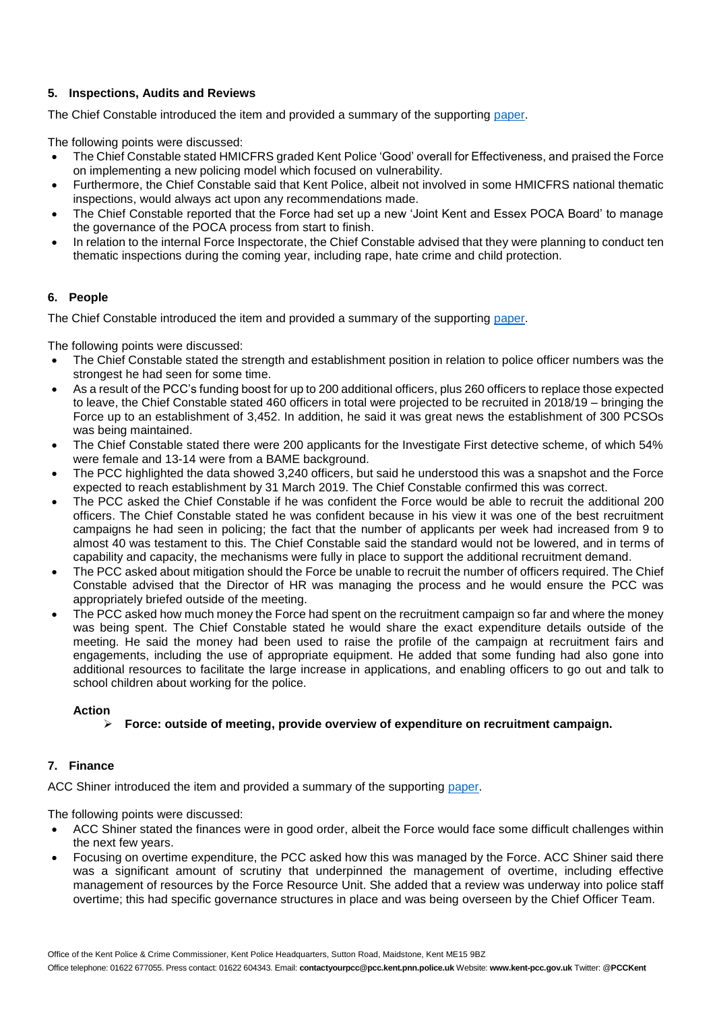# **5. Inspections, Audits and Reviews**

The Chief Constable introduced the item and provided a summary of the supporting [paper.](https://www.kent-pcc.gov.uk/getmedia/2826e831-73da-46ee-90ef-804e3cde6c12/310518_Inspections.pdf)

The following points were discussed:

- The Chief Constable stated HMICFRS graded Kent Police 'Good' overall for Effectiveness, and praised the Force on implementing a new policing model which focused on vulnerability.
- Furthermore, the Chief Constable said that Kent Police, albeit not involved in some HMICFRS national thematic inspections, would always act upon any recommendations made.
- The Chief Constable reported that the Force had set up a new 'Joint Kent and Essex POCA Board' to manage the governance of the POCA process from start to finish.
- In relation to the internal Force Inspectorate, the Chief Constable advised that they were planning to conduct ten thematic inspections during the coming year, including rape, hate crime and child protection.

## **6. People**

The Chief Constable introduced the item and provided a summary of the supporting [paper.](https://www.kent-pcc.gov.uk/getmedia/0c43c566-40d0-4cba-aeb4-dc5c8e63c6d6/People_31May2018.pdf)

The following points were discussed:

- The Chief Constable stated the strength and establishment position in relation to police officer numbers was the strongest he had seen for some time.
- As a result of the PCC's funding boost for up to 200 additional officers, plus 260 officers to replace those expected to leave, the Chief Constable stated 460 officers in total were projected to be recruited in 2018/19 – bringing the Force up to an establishment of 3,452. In addition, he said it was great news the establishment of 300 PCSOs was being maintained.
- The Chief Constable stated there were 200 applicants for the Investigate First detective scheme, of which 54% were female and 13-14 were from a BAME background.
- The PCC highlighted the data showed 3,240 officers, but said he understood this was a snapshot and the Force expected to reach establishment by 31 March 2019. The Chief Constable confirmed this was correct.
- The PCC asked the Chief Constable if he was confident the Force would be able to recruit the additional 200 officers. The Chief Constable stated he was confident because in his view it was one of the best recruitment campaigns he had seen in policing; the fact that the number of applicants per week had increased from 9 to almost 40 was testament to this. The Chief Constable said the standard would not be lowered, and in terms of capability and capacity, the mechanisms were fully in place to support the additional recruitment demand.
- The PCC asked about mitigation should the Force be unable to recruit the number of officers required. The Chief Constable advised that the Director of HR was managing the process and he would ensure the PCC was appropriately briefed outside of the meeting.
- The PCC asked how much money the Force had spent on the recruitment campaign so far and where the money was being spent. The Chief Constable stated he would share the exact expenditure details outside of the meeting. He said the money had been used to raise the profile of the campaign at recruitment fairs and engagements, including the use of appropriate equipment. He added that some funding had also gone into additional resources to facilitate the large increase in applications, and enabling officers to go out and talk to school children about working for the police.

## **Action**

**Force: outside of meeting, provide overview of expenditure on recruitment campaign.**

## **7. Finance**

ACC Shiner introduced the item and provided a summary of the supporting [paper.](https://www.kent-pcc.gov.uk/getmedia/a73ae6db-005b-4455-b583-b6cfbf57ffd5/Finance_31May2018.pdf)

The following points were discussed:

- ACC Shiner stated the finances were in good order, albeit the Force would face some difficult challenges within the next few years.
- Focusing on overtime expenditure, the PCC asked how this was managed by the Force. ACC Shiner said there was a significant amount of scrutiny that underpinned the management of overtime, including effective management of resources by the Force Resource Unit. She added that a review was underway into police staff overtime; this had specific governance structures in place and was being overseen by the Chief Officer Team.